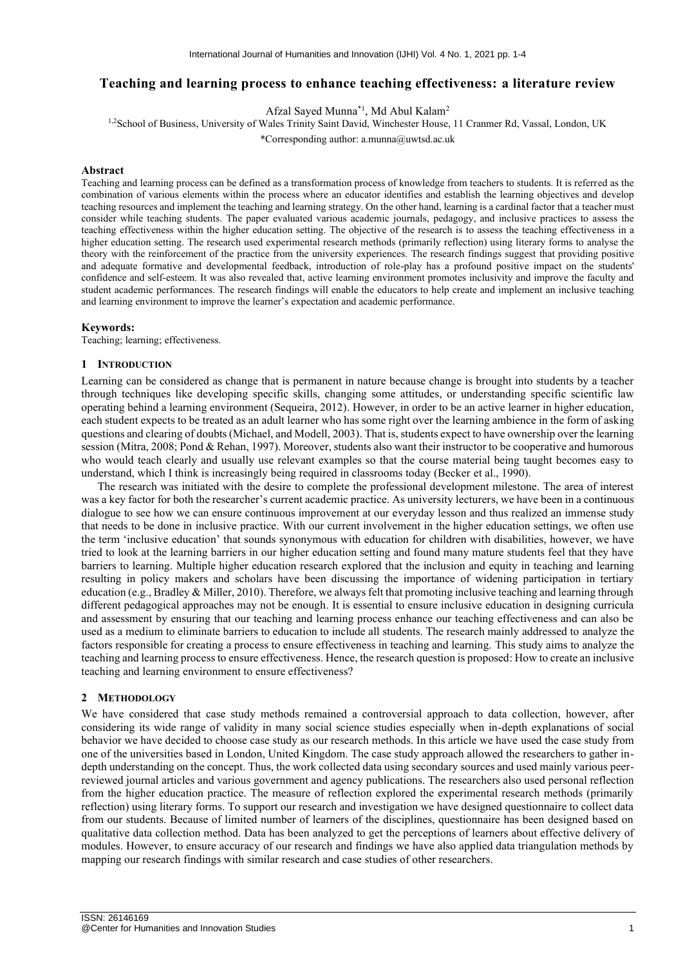# **Teaching and learning process to enhance teaching effectiveness: a literature review**

Afzal Sayed Munna\*1 , Md Abul Kalam<sup>2</sup>

<sup>1,2</sup>School of Business, University of Wales Trinity Saint David, Winchester House, 11 Cranmer Rd, Vassal, London, UK

\*Corresponding author: a.munna@uwtsd.ac.uk

# **Abstract**

Teaching and learning process can be defined as a transformation process of knowledge from teachers to students. It is referred as the combination of various elements within the process where an educator identifies and establish the learning objectives and develop teaching resources and implement the teaching and learning strategy. On the other hand, learning is a cardinal factor that a teacher must consider while teaching students. The paper evaluated various academic journals, pedagogy, and inclusive practices to assess the teaching effectiveness within the higher education setting. The objective of the research is to assess the teaching effectiveness in a higher education setting. The research used experimental research methods (primarily reflection) using literary forms to analyse the theory with the reinforcement of the practice from the university experiences. The research findings suggest that providing positive and adequate formative and developmental feedback, introduction of role-play has a profound positive impact on the students' confidence and self-esteem. It was also revealed that, active learning environment promotes inclusivity and improve the faculty and student academic performances. The research findings will enable the educators to help create and implement an inclusive teaching and learning environment to improve the learner's expectation and academic performance.

# **Keywords:**

Teaching; learning; effectiveness.

# **1 INTRODUCTION**

Learning can be considered as change that is permanent in nature because change is brought into students by a teacher through techniques like developing specific skills, changing some attitudes, or understanding specific scientific law operating behind a learning environment (Sequeira, 2012). However, in order to be an active learner in higher education, each student expects to be treated as an adult learner who has some right over the learning ambience in the form of asking questions and clearing of doubts (Michael, and Modell, 2003). That is, students expect to have ownership over the learning session (Mitra, 2008; Pond & Rehan, 1997). Moreover, students also want their instructor to be cooperative and humorous who would teach clearly and usually use relevant examples so that the course material being taught becomes easy to understand, which I think is increasingly being required in classrooms today (Becker et al., 1990).

The research was initiated with the desire to complete the professional development milestone. The area of interest was a key factor for both the researcher's current academic practice. As university lecturers, we have been in a continuous dialogue to see how we can ensure continuous improvement at our everyday lesson and thus realized an immense study that needs to be done in inclusive practice. With our current involvement in the higher education settings, we often use the term 'inclusive education' that sounds synonymous with education for children with disabilities, however, we have tried to look at the learning barriers in our higher education setting and found many mature students feel that they have barriers to learning. Multiple higher education research explored that the inclusion and equity in teaching and learning resulting in policy makers and scholars have been discussing the importance of widening participation in tertiary education (e.g., Bradley & Miller, 2010). Therefore, we always felt that promoting inclusive teaching and learning through different pedagogical approaches may not be enough. It is essential to ensure inclusive education in designing curricula and assessment by ensuring that our teaching and learning process enhance our teaching effectiveness and can also be used as a medium to eliminate barriers to education to include all students. The research mainly addressed to analyze the factors responsible for creating a process to ensure effectiveness in teaching and learning. This study aims to analyze the teaching and learning process to ensure effectiveness. Hence, the research question is proposed: How to create an inclusive teaching and learning environment to ensure effectiveness?

#### **2 METHODOLOGY**

We have considered that case study methods remained a controversial approach to data collection, however, after considering its wide range of validity in many social science studies especially when in-depth explanations of social behavior we have decided to choose case study as our research methods. In this article we have used the case study from one of the universities based in London, United Kingdom. The case study approach allowed the researchers to gather indepth understanding on the concept. Thus, the work collected data using secondary sources and used mainly various peerreviewed journal articles and various government and agency publications. The researchers also used personal reflection from the higher education practice. The measure of reflection explored the experimental research methods (primarily reflection) using literary forms. To support our research and investigation we have designed questionnaire to collect data from our students. Because of limited number of learners of the disciplines, questionnaire has been designed based on qualitative data collection method. Data has been analyzed to get the perceptions of learners about effective delivery of modules. However, to ensure accuracy of our research and findings we have also applied data triangulation methods by mapping our research findings with similar research and case studies of other researchers.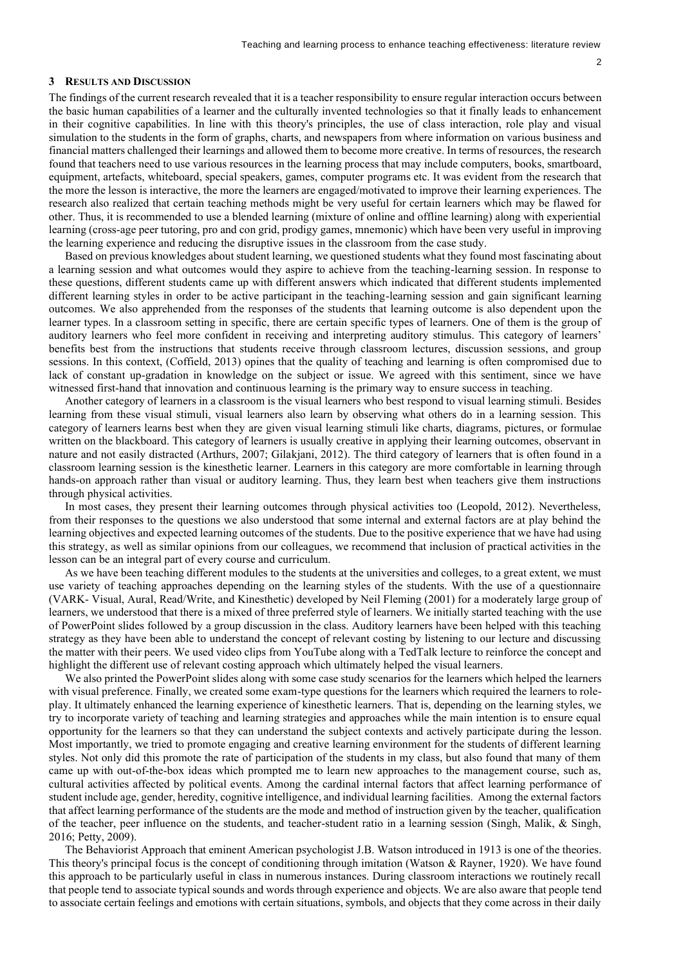# **3 RESULTS AND DISCUSSION**

The findings of the current research revealed that it is a teacher responsibility to ensure regular interaction occurs between the basic human capabilities of a learner and the culturally invented technologies so that it finally leads to enhancement in their cognitive capabilities. In line with this theory's principles, the use of class interaction, role play and visual simulation to the students in the form of graphs, charts, and newspapers from where information on various business and financial matters challenged their learnings and allowed them to become more creative. In terms of resources, the research found that teachers need to use various resources in the learning process that may include computers, books, smartboard, equipment, artefacts, whiteboard, special speakers, games, computer programs etc. It was evident from the research that the more the lesson is interactive, the more the learners are engaged/motivated to improve their learning experiences. The research also realized that certain teaching methods might be very useful for certain learners which may be flawed for other. Thus, it is recommended to use a blended learning (mixture of online and offline learning) along with experiential learning (cross-age peer tutoring, pro and con grid, prodigy games, mnemonic) which have been very useful in improving the learning experience and reducing the disruptive issues in the classroom from the case study.

Based on previous knowledges about student learning, we questioned students what they found most fascinating about a learning session and what outcomes would they aspire to achieve from the teaching-learning session. In response to these questions, different students came up with different answers which indicated that different students implemented different learning styles in order to be active participant in the teaching-learning session and gain significant learning outcomes. We also apprehended from the responses of the students that learning outcome is also dependent upon the learner types. In a classroom setting in specific, there are certain specific types of learners. One of them is the group of auditory learners who feel more confident in receiving and interpreting auditory stimulus. This category of learners' benefits best from the instructions that students receive through classroom lectures, discussion sessions, and group sessions. In this context, (Coffield, 2013) opines that the quality of teaching and learning is often compromised due to lack of constant up-gradation in knowledge on the subject or issue. We agreed with this sentiment, since we have witnessed first-hand that innovation and continuous learning is the primary way to ensure success in teaching.

Another category of learners in a classroom is the visual learners who best respond to visual learning stimuli. Besides learning from these visual stimuli, visual learners also learn by observing what others do in a learning session. This category of learners learns best when they are given visual learning stimuli like charts, diagrams, pictures, or formulae written on the blackboard. This category of learners is usually creative in applying their learning outcomes, observant in nature and not easily distracted (Arthurs, 2007; Gilakjani, 2012). The third category of learners that is often found in a classroom learning session is the kinesthetic learner. Learners in this category are more comfortable in learning through hands-on approach rather than visual or auditory learning. Thus, they learn best when teachers give them instructions through physical activities.

In most cases, they present their learning outcomes through physical activities too (Leopold, 2012). Nevertheless, from their responses to the questions we also understood that some internal and external factors are at play behind the learning objectives and expected learning outcomes of the students. Due to the positive experience that we have had using this strategy, as well as similar opinions from our colleagues, we recommend that inclusion of practical activities in the lesson can be an integral part of every course and curriculum.

As we have been teaching different modules to the students at the universities and colleges, to a great extent, we must use variety of teaching approaches depending on the learning styles of the students. With the use of a questionnaire (VARK- Visual, Aural, Read/Write, and Kinesthetic) developed by Neil Fleming (2001) for a moderately large group of learners, we understood that there is a mixed of three preferred style of learners. We initially started teaching with the use of PowerPoint slides followed by a group discussion in the class. Auditory learners have been helped with this teaching strategy as they have been able to understand the concept of relevant costing by listening to our lecture and discussing the matter with their peers. We used video clips from YouTube along with a TedTalk lecture to reinforce the concept and highlight the different use of relevant costing approach which ultimately helped the visual learners.

We also printed the PowerPoint slides along with some case study scenarios for the learners which helped the learners with visual preference. Finally, we created some exam-type questions for the learners which required the learners to roleplay. It ultimately enhanced the learning experience of kinesthetic learners. That is, depending on the learning styles, we try to incorporate variety of teaching and learning strategies and approaches while the main intention is to ensure equal opportunity for the learners so that they can understand the subject contexts and actively participate during the lesson. Most importantly, we tried to promote engaging and creative learning environment for the students of different learning styles. Not only did this promote the rate of participation of the students in my class, but also found that many of them came up with out-of-the-box ideas which prompted me to learn new approaches to the management course, such as, cultural activities affected by political events. Among the cardinal internal factors that affect learning performance of student include age, gender, heredity, cognitive intelligence, and individual learning facilities. Among the external factors that affect learning performance of the students are the mode and method of instruction given by the teacher, qualification of the teacher, peer influence on the students, and teacher-student ratio in a learning session (Singh, Malik, & Singh, 2016; Petty, 2009).

The Behaviorist Approach that eminent American psychologist J.B. Watson introduced in 1913 is one of the theories. This theory's principal focus is the concept of conditioning through imitation (Watson & Rayner, 1920). We have found this approach to be particularly useful in class in numerous instances. During classroom interactions we routinely recall that people tend to associate typical sounds and words through experience and objects. We are also aware that people tend to associate certain feelings and emotions with certain situations, symbols, and objects that they come across in their daily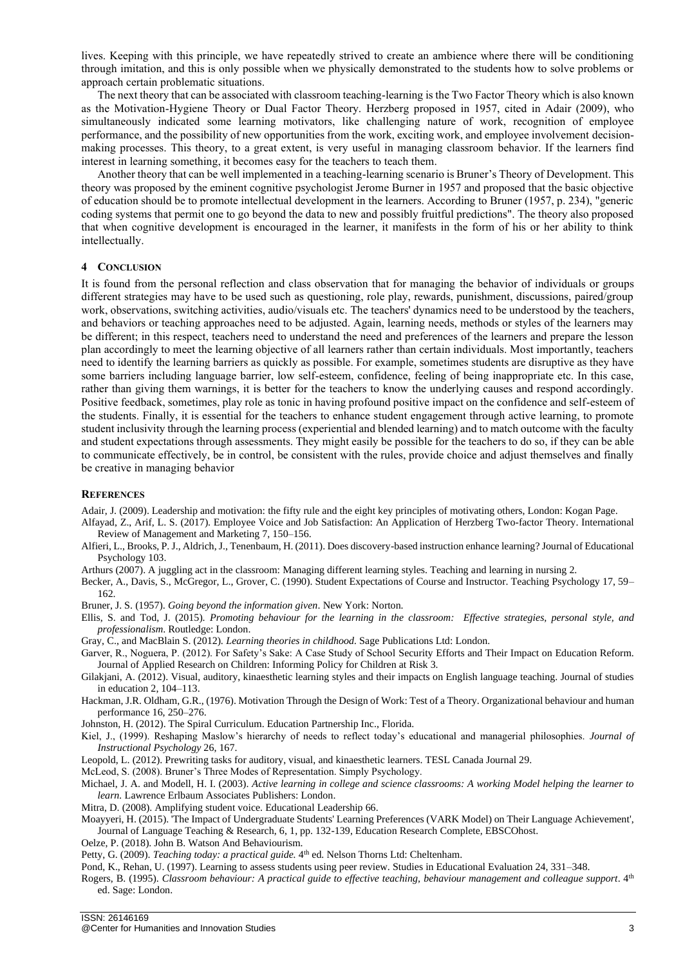lives. Keeping with this principle, we have repeatedly strived to create an ambience where there will be conditioning through imitation, and this is only possible when we physically demonstrated to the students how to solve problems or approach certain problematic situations.

The next theory that can be associated with classroom teaching-learning is the Two Factor Theory which is also known as the Motivation-Hygiene Theory or Dual Factor Theory. Herzberg proposed in 1957, cited in Adair (2009), who simultaneously indicated some learning motivators, like challenging nature of work, recognition of employee performance, and the possibility of new opportunities from the work, exciting work, and employee involvement decisionmaking processes. This theory, to a great extent, is very useful in managing classroom behavior. If the learners find interest in learning something, it becomes easy for the teachers to teach them.

Another theory that can be well implemented in a teaching-learning scenario is Bruner's Theory of Development. This theory was proposed by the eminent cognitive psychologist Jerome Burner in 1957 and proposed that the basic objective of education should be to promote intellectual development in the learners. According to Bruner (1957, p. 234), "generic coding systems that permit one to go beyond the data to new and possibly fruitful predictions". The theory also proposed that when cognitive development is encouraged in the learner, it manifests in the form of his or her ability to think intellectually.

# **4 CONCLUSION**

It is found from the personal reflection and class observation that for managing the behavior of individuals or groups different strategies may have to be used such as questioning, role play, rewards, punishment, discussions, paired/group work, observations, switching activities, audio/visuals etc. The teachers' dynamics need to be understood by the teachers, and behaviors or teaching approaches need to be adjusted. Again, learning needs, methods or styles of the learners may be different; in this respect, teachers need to understand the need and preferences of the learners and prepare the lesson plan accordingly to meet the learning objective of all learners rather than certain individuals. Most importantly, teachers need to identify the learning barriers as quickly as possible. For example, sometimes students are disruptive as they have some barriers including language barrier, low self-esteem, confidence, feeling of being inappropriate etc. In this case, rather than giving them warnings, it is better for the teachers to know the underlying causes and respond accordingly. Positive feedback, sometimes, play role as tonic in having profound positive impact on the confidence and self-esteem of the students. Finally, it is essential for the teachers to enhance student engagement through active learning, to promote student inclusivity through the learning process (experiential and blended learning) and to match outcome with the faculty and student expectations through assessments. They might easily be possible for the teachers to do so, if they can be able to communicate effectively, be in control, be consistent with the rules, provide choice and adjust themselves and finally be creative in managing behavior

# **REFERENCES**

Adair, J. (2009). Leadership and motivation: the fifty rule and the eight key principles of motivating others, London: Kogan Page.

- Alfayad, Z., Arif, L. S. (2017). Employee Voice and Job Satisfaction: An Application of Herzberg Two-factor Theory. International Review of Management and Marketing 7, 150–156.
- Alfieri, L., Brooks, P. J., Aldrich, J., Tenenbaum, H. (2011). Does discovery-based instruction enhance learning? Journal of Educational Psychology 103.
- Arthurs (2007). A juggling act in the classroom: Managing different learning styles. Teaching and learning in nursing 2.
- Becker, A., Davis, S., McGregor, L., Grover, C. (1990). Student Expectations of Course and Instructor. Teaching Psychology 17, 59– 162.

Bruner, J. S. (1957). *Going beyond the information given*. New York: Norton.

- Ellis, S. and Tod, J. (2015). *Promoting behaviour for the learning in the classroom: Effective strategies, personal style, and professionalism*. Routledge: London.
- Gray, C., and MacBlain S. (2012). *Learning theories in childhood.* Sage Publications Ltd: London.
- Garver, R., Noguera, P. (2012). For Safety's Sake: A Case Study of School Security Efforts and Their Impact on Education Reform. Journal of Applied Research on Children: Informing Policy for Children at Risk 3.
- Gilakjani, A. (2012). Visual, auditory, kinaesthetic learning styles and their impacts on English language teaching. Journal of studies in education 2, 104–113.
- Hackman, J.R. Oldham, G.R., (1976). Motivation Through the Design of Work: Test of a Theory. Organizational behaviour and human performance 16, 250–276.
- Johnston, H. (2012). The Spiral Curriculum. Education Partnership Inc., Florida.
- Kiel, J., (1999). Reshaping Maslow's hierarchy of needs to reflect today's educational and managerial philosophies. *Journal of Instructional Psychology* 26, 167.
- Leopold, L. (2012). Prewriting tasks for auditory, visual, and kinaesthetic learners. TESL Canada Journal 29.
- McLeod, S. (2008). Bruner's Three Modes of Representation. Simply Psychology.
- Michael, J. A. and Modell, H. I. (2003). *Active learning in college and science classrooms: A working Model helping the learner to learn.* Lawrence Erlbaum Associates Publishers: London.
- Mitra, D. (2008). Amplifying student voice. Educational Leadership 66.
- Moayyeri, H. (2015). 'The Impact of Undergraduate Students' Learning Preferences (VARK Model) on Their Language Achievement', Journal of Language Teaching & Research, 6, 1, pp. 132-139, Education Research Complete, EBSCOhost.
- Oelze, P. (2018). John B. Watson And Behaviourism.
- Petty, G. (2009). *Teaching today: a practical guide*. 4<sup>th</sup> ed. Nelson Thorns Ltd: Cheltenham.

Pond, K., Rehan, U. (1997). Learning to assess students using peer review. Studies in Educational Evaluation 24, 331–348.

Rogers, B. (1995). *Classroom behaviour: A practical guide to effective teaching, behaviour management and colleague support*. 4<sup>th</sup> ed. Sage: London.